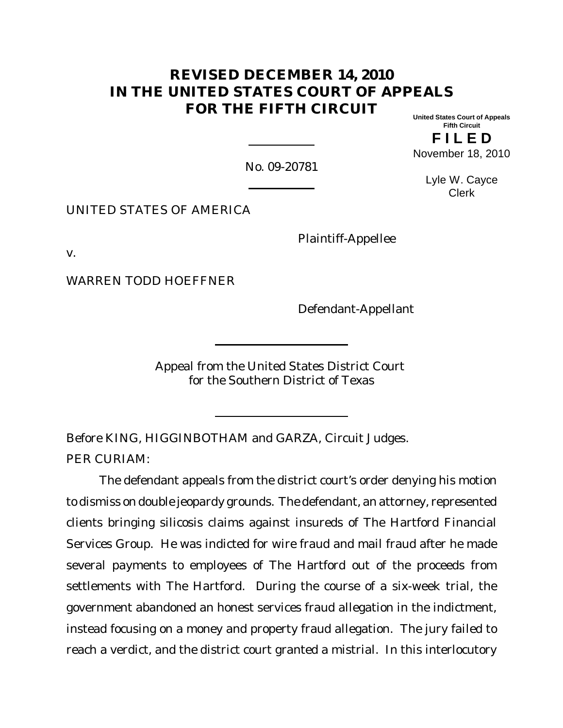# **REVISED DECEMBER 14, 2010 IN THE UNITED STATES COURT OF APPEALS FOR THE FIFTH CIRCUIT**

**United States Court of Appeals Fifth Circuit**

**FII FD** November 18, 2010

No. 09-20781

Lyle W. Cayce Clerk

UNITED STATES OF AMERICA

Plaintiff-Appellee

v.

WARREN TODD HOEFFNER

Defendant-Appellant

Appeal from the United States District Court for the Southern District of Texas

Before KING, HIGGINBOTHAM and GARZA, Circuit Judges. PER CURIAM:

The defendant appeals from the district court's order denying his motion to dismiss on double jeopardy grounds. The defendant, an attorney, represented clients bringing silicosis claims against insureds of The Hartford Financial Services Group. He was indicted for wire fraud and mail fraud after he made several payments to employees of The Hartford out of the proceeds from settlements with The Hartford. During the course of a six-week trial, the government abandoned an honest services fraud allegation in the indictment, instead focusing on a money and property fraud allegation. The jury failed to reach a verdict, and the district court granted a mistrial. In this interlocutory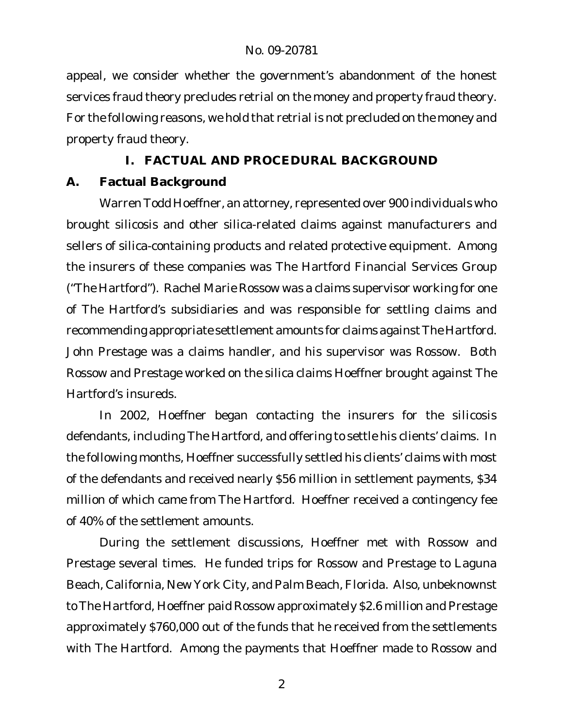appeal, we consider whether the government's abandonment of the honest services fraud theory precludes retrial on the money and property fraud theory. For the following reasons, we hold that retrial is not precluded on the money and property fraud theory.

## **I. FACTUAL AND PROCEDURAL BACKGROUND**

## **A. Factual Background**

Warren Todd Hoeffner, an attorney, represented over 900 individuals who brought silicosis and other silica-related claims against manufacturers and sellers of silica-containing products and related protective equipment. Among the insurers of these companies was The Hartford Financial Services Group ("The Hartford"). Rachel Marie Rossow was a claims supervisor working for one of The Hartford's subsidiaries and was responsible for settling claims and recommending appropriate settlement amounts for claims against The Hartford. John Prestage was a claims handler, and his supervisor was Rossow. Both Rossow and Prestage worked on the silica claims Hoeffner brought against The Hartford's insureds.

In 2002, Hoeffner began contacting the insurers for the silicosis defendants, including The Hartford, and offering to settle his clients' claims. In the following months, Hoeffner successfully settled his clients' claims with most of the defendants and received nearly \$56 million in settlement payments, \$34 million of which came from The Hartford. Hoeffner received a contingency fee of 40% of the settlement amounts.

During the settlement discussions, Hoeffner met with Rossow and Prestage several times. He funded trips for Rossow and Prestage to Laguna Beach, California, New York City, and Palm Beach, Florida. Also, unbeknownst to The Hartford, Hoeffner paid Rossow approximately \$2.6 million and Prestage approximately \$760,000 out of the funds that he received from the settlements with The Hartford. Among the payments that Hoeffner made to Rossow and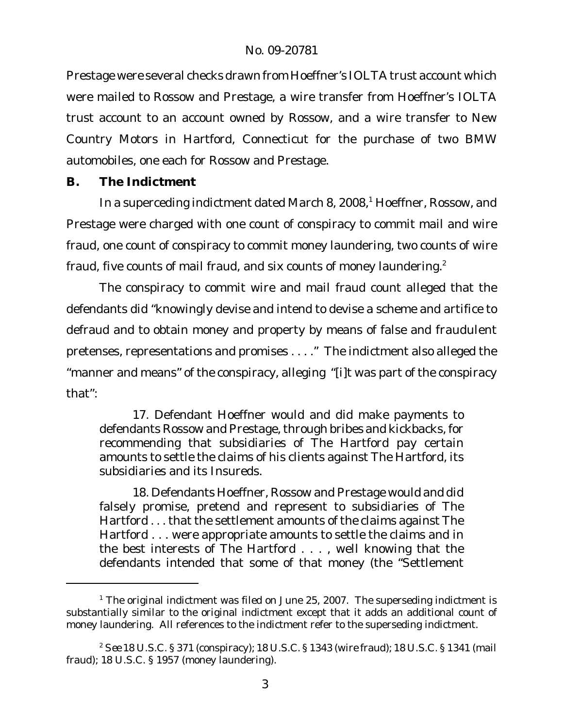Prestage were several checks drawn from Hoeffner's IOLTA trust account which were mailed to Rossow and Prestage, a wire transfer from Hoeffner's IOLTA trust account to an account owned by Rossow, and a wire transfer to New Country Motors in Hartford, Connecticut for the purchase of two BMW automobiles, one each for Rossow and Prestage.

**B. The Indictment**

In a superceding indictment dated March 8, 2008,<sup>1</sup> Hoeffner, Rossow, and Prestage were charged with one count of conspiracy to commit mail and wire fraud, one count of conspiracy to commit money laundering, two counts of wire fraud, five counts of mail fraud, and six counts of money laundering. $2$ 

The conspiracy to commit wire and mail fraud count alleged that the defendants did "knowingly devise and intend to devise a scheme and artifice to defraud and to obtain money and property by means of false and fraudulent pretenses, representations and promises . . . ." The indictment also alleged the "manner and means" of the conspiracy, alleging "[i]t was part of the conspiracy that":

17. Defendant Hoeffner would and did make payments to defendants Rossow and Prestage, through bribes and kickbacks, for recommending that subsidiaries of The Hartford pay certain amounts to settle the claims of his clients against The Hartford, its subsidiaries and its Insureds.

18. Defendants Hoeffner, Rossow and Prestage would and did falsely promise, pretend and represent to subsidiaries of The Hartford . . . that the settlement amounts of the claims against The Hartford . . . were appropriate amounts to settle the claims and in the best interests of The Hartford . . . , well knowing that the defendants intended that some of that money (the "Settlement

 $1$  The original indictment was filed on June 25, 2007. The superseding indictment is substantially similar to the original indictment except that it adds an additional count of money laundering. All references to the indictment refer to the superseding indictment.

<sup>2</sup> *See* 18 U.S.C. § 371 (conspiracy); 18 U.S.C. § 1343 (wire fraud); 18 U.S.C. § 1341 (mail fraud); 18 U.S.C. § 1957 (money laundering).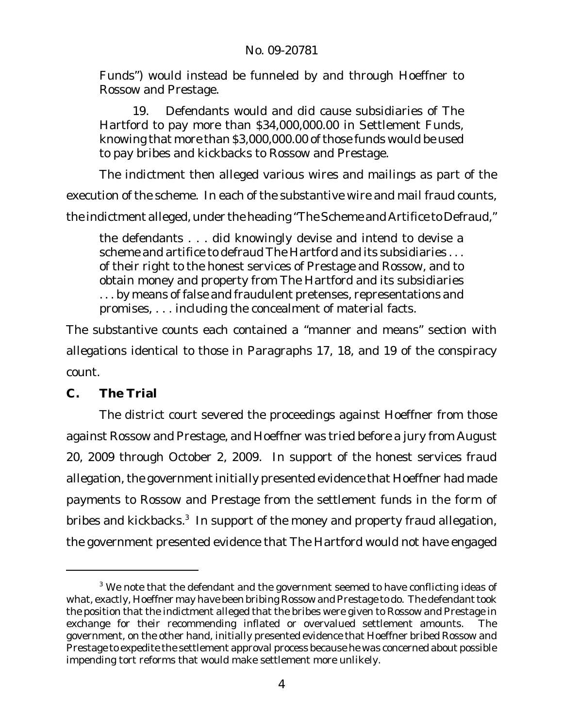Funds") would instead be funneled by and through Hoeffner to Rossow and Prestage.

19. Defendants would and did cause subsidiaries of The Hartford to pay more than \$34,000,000.00 in Settlement Funds, knowing that more than \$3,000,000.00 of those funds would be used to pay bribes and kickbacks to Rossow and Prestage.

The indictment then alleged various wires and mailings as part of the

execution of the scheme. In each of the substantive wire and mail fraud counts,

the indictment alleged, under the heading "The Scheme and Artifice to Defraud,"

the defendants . . . did knowingly devise and intend to devise a scheme and artifice to defraud The Hartford and its subsidiaries . . . of their right to the honest services of Prestage and Rossow, and to obtain money and property from The Hartford and its subsidiaries . . . by means of false and fraudulent pretenses, representations and promises, . . . including the concealment of material facts.

The substantive counts each contained a "manner and means" section with allegations identical to those in Paragraphs 17, 18, and 19 of the conspiracy count.

**C. The Trial**

The district court severed the proceedings against Hoeffner from those against Rossow and Prestage, and Hoeffner was tried before a jury from August 20, 2009 through October 2, 2009. In support of the honest services fraud allegation, the government initially presented evidence that Hoeffner had made payments to Rossow and Prestage from the settlement funds in the form of bribes and kickbacks.<sup>3</sup> In support of the money and property fraud allegation, the government presented evidence that The Hartford would not have engaged

<sup>&</sup>lt;sup>3</sup> We note that the defendant and the government seemed to have conflicting ideas of what, exactly, Hoeffner may have been bribing Rossow and Prestage to do. The defendant took the position that the indictment alleged that the bribes were given to Rossow and Prestage in exchange for their recommending inflated or overvalued settlement amounts. The government, on the other hand, initially presented evidence that Hoeffner bribed Rossow and Prestage to expedite the settlement approval process because he was concerned about possible impending tort reforms that would make settlement more unlikely.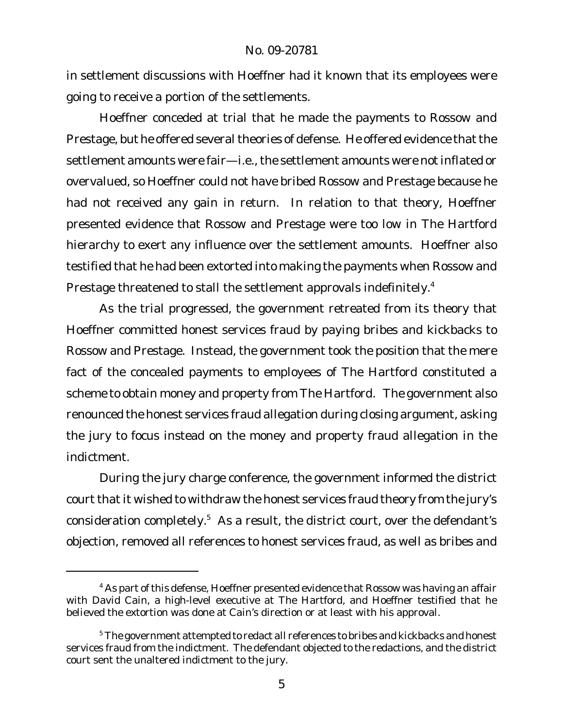in settlement discussions with Hoeffner had it known that its employees were going to receive a portion of the settlements.

Hoeffner conceded at trial that he made the payments to Rossow and Prestage, but he offered several theories of defense. He offered evidence that the settlement amounts were fair—i.e., the settlement amounts were notinflated or overvalued, so Hoeffner could not have bribed Rossow and Prestage because he had not received any gain in return. In relation to that theory, Hoeffner presented evidence that Rossow and Prestage were too low in The Hartford hierarchy to exert any influence over the settlement amounts. Hoeffner also testified that he had been extorted into making the payments when Rossow and Prestage threatened to stall the settlement approvals indefinitely.<sup>4</sup>

As the trial progressed, the government retreated from its theory that Hoeffner committed honest services fraud by paying bribes and kickbacks to Rossow and Prestage. Instead, the government took the position that the mere fact of the concealed payments to employees of The Hartford constituted a scheme to obtain money and property from The Hartford. The government also renounced the honest services fraud allegation during closing argument, asking the jury to focus instead on the money and property fraud allegation in the indictment.

During the jury charge conference, the government informed the district court that it wished to withdraw the honest services fraud theory from the jury's consideration completely.<sup>5</sup> As a result, the district court, over the defendant's objection, removed all references to honest services fraud, as well as bribes and

 $4$  As part of this defense, Hoeffner presented evidence that Rossow was having an affair with David Cain, a high-level executive at The Hartford, and Hoeffner testified that he believed the extortion was done at Cain's direction or at least with his approval.

<sup>&</sup>lt;sup>5</sup> The government attempted to redact all references to bribes and kickbacks and honest services fraud from the indictment. The defendant objected to the redactions, and the district court sent the unaltered indictment to the jury.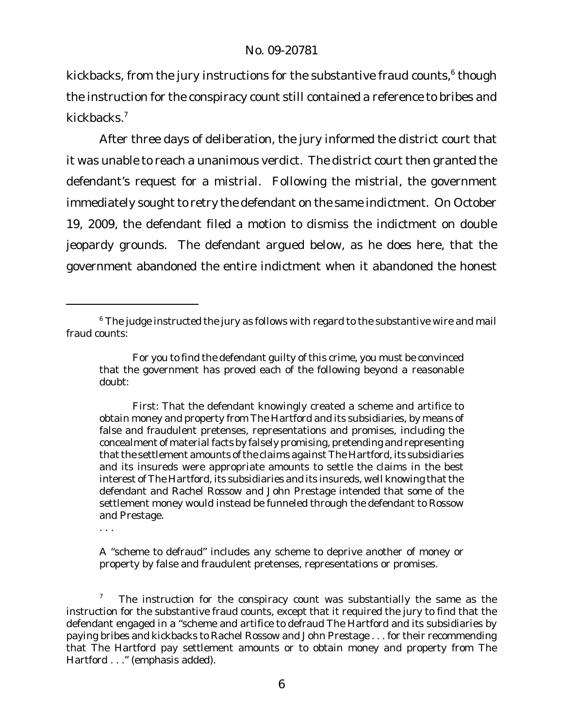kickbacks, from the jury instructions for the substantive fraud counts, $^6$  though the instruction for the conspiracy count still contained a reference to bribes and kickbacks<sup>7</sup>

After three days of deliberation, the jury informed the district court that it was unable to reach a unanimous verdict. The district court then granted the defendant's request for a mistrial. Following the mistrial, the government immediately sought to retry the defendant on the same indictment. On October 19, 2009, the defendant filed a motion to dismiss the indictment on double jeopardy grounds. The defendant argued below, as he does here, that the government abandoned the entire indictment when it abandoned the honest

A "scheme to defraud" includes any scheme to deprive another of money or property by false and fraudulent pretenses, representations or promises.

 $6$  The judge instructed the jury as follows with regard to the substantive wire and mail fraud counts:

For you to find the defendant guilty of this crime, you must be convinced that the government has proved each of the following beyond a reasonable doubt:

First: That the defendant knowingly created a scheme and artifice to obtain money and property from The Hartford and its subsidiaries, by means of false and fraudulent pretenses, representations and promises, including the concealment of material facts by falsely promising, pretending and representing that the settlement amounts of the claims against The Hartford, its subsidiaries and its insureds were appropriate amounts to settle the claims in the best interest of The Hartford, its subsidiaries and its insureds, well knowing that the defendant and Rachel Rossow and John Prestage intended that some of the settlement money would instead be funneled through the defendant to Rossow and Prestage.

<sup>. . .</sup> 

<sup>&</sup>lt;sup>7</sup> The instruction for the conspiracy count was substantially the same as the instruction for the substantive fraud counts, except that it required the jury to find that the defendant engaged in a "scheme and artifice to defraud The Hartford and its subsidiaries by paying bribes and kickbacks to Rachel Rossow and John Prestage . . . for their recommending that The Hartford pay settlement amounts *or* to obtain money and property from The Hartford . . ." (emphasis added).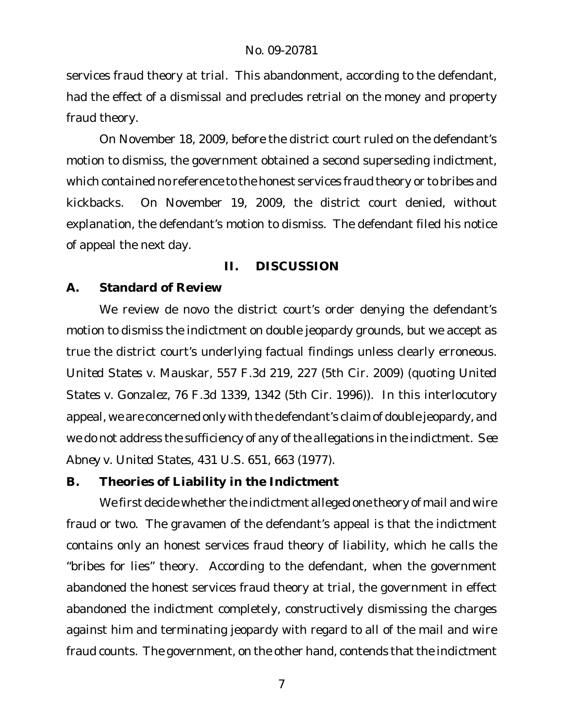services fraud theory at trial. This abandonment, according to the defendant, had the effect of a dismissal and precludes retrial on the money and property fraud theory.

On November 18, 2009, before the district court ruled on the defendant's motion to dismiss, the government obtained a second superseding indictment, which contained no reference to the honest services fraud theory or to bribes and kickbacks. On November 19, 2009, the district court denied, without explanation, the defendant's motion to dismiss. The defendant filed his notice of appeal the next day.

### **II. DISCUSSION**

## **A. Standard of Review**

We review de novo the district court's order denying the defendant's motion to dismiss the indictment on double jeopardy grounds, but we accept as true the district court's underlying factual findings unless clearly erroneous. *United States v. Mauskar*, 557 F.3d 219, 227 (5th Cir. 2009) (quoting *United States v. Gonzalez*, 76 F.3d 1339, 1342 (5th Cir. 1996)). In this interlocutory appeal, we are concerned only with the defendant's claim of double jeopardy, and we do not address the sufficiency of any of the allegations in the indictment. *See Abney v. United States*, 431 U.S. 651, 663 (1977).

**B. Theories of Liability in the Indictment**

We first decide whether the indictment alleged one theory of mail and wire fraud or two. The gravamen of the defendant's appeal is that the indictment contains only an honest services fraud theory of liability, which he calls the "bribes for lies" theory. According to the defendant, when the government abandoned the honest services fraud theory at trial, the government in effect abandoned the indictment completely, constructively dismissing the charges against him and terminating jeopardy with regard to all of the mail and wire fraud counts. The government, on the other hand, contends that the indictment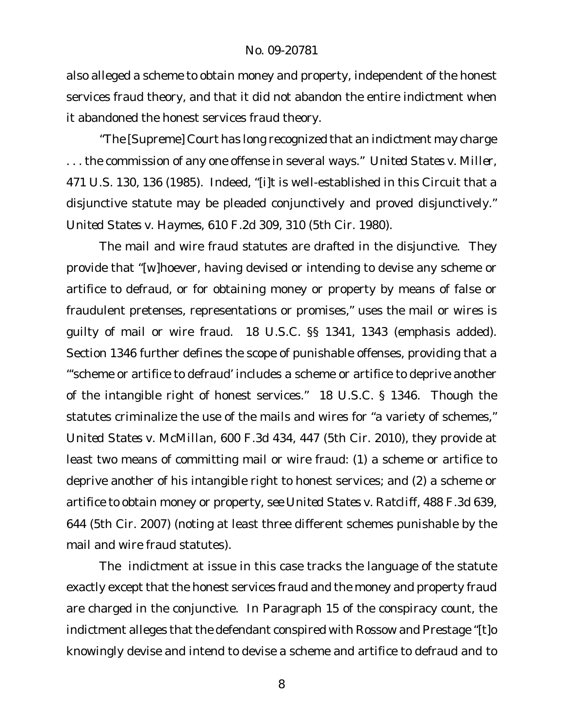also alleged a scheme to obtain money and property, independent of the honest services fraud theory, and that it did not abandon the entire indictment when it abandoned the honest services fraud theory.

"The [Supreme] Court has long recognized that an indictment may charge . . . the commission of any one offense in several ways." *United States v. Miller*, 471 U.S. 130, 136 (1985). Indeed, "[i]t is well-established in this Circuit that a disjunctive statute may be pleaded conjunctively and proved disjunctively." *United States v. Haymes*, 610 F.2d 309, 310 (5th Cir. 1980).

The mail and wire fraud statutes are drafted in the disjunctive. They provide that "[w]hoever, having devised or intending to devise any scheme or artifice to defraud, *or* for obtaining money or property by means of false or fraudulent pretenses, representations or promises," uses the mail or wires is guilty of mail or wire fraud. 18 U.S.C. §§ 1341, 1343 (emphasis added). Section 1346 further defines the scope of punishable offenses, providing that a "'scheme or artifice to defraud' includes a scheme or artifice to deprive another of the intangible right of honest services." 18 U.S.C. § 1346. Though the statutes criminalize the use of the mails and wires for "a variety of schemes," *United States v. McMillan*, 600 F.3d 434, 447 (5th Cir. 2010), they provide at least two means of committing mail or wire fraud: (1) a scheme or artifice to deprive another of his intangible right to honest services; and (2) a scheme or artifice to obtain money or property, *see United States v. Ratcliff*, 488 F.3d 639, 644 (5th Cir. 2007) (noting at least three different schemes punishable by the mail and wire fraud statutes).

The indictment at issue in this case tracks the language of the statute exactly except that the honest services fraud and the money and property fraud are charged in the conjunctive. In Paragraph 15 of the conspiracy count, the indictment alleges that the defendant conspired with Rossow and Prestage "[t]o knowingly devise and intend to devise a scheme and artifice to defraud *and* to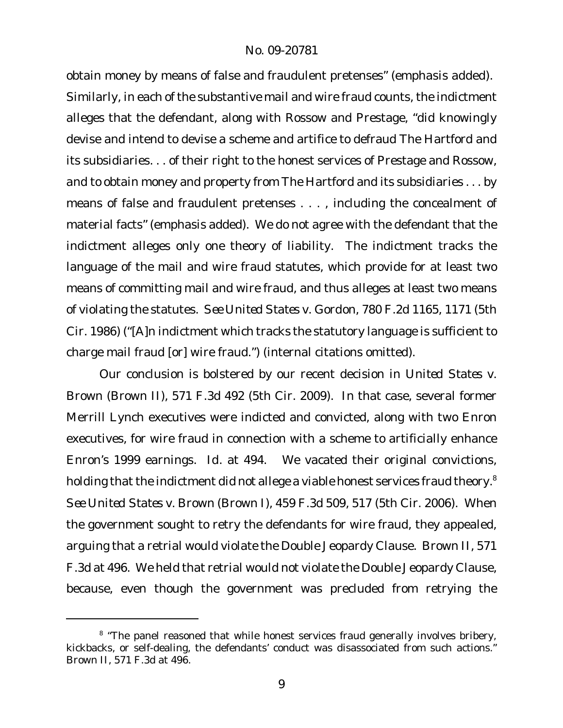obtain money by means of false and fraudulent pretenses" (emphasis added). Similarly, in each of the substantive mail and wire fraud counts, the indictment alleges that the defendant, along with Rossow and Prestage, "did knowingly devise and intend to devise a scheme and artifice to defraud The Hartford and its subsidiaries. . . of their right to the honest services of Prestage and Rossow, *and* to obtain money and property from The Hartford and its subsidiaries . . . by means of false and fraudulent pretenses . . . , including the concealment of material facts" (emphasis added). We do not agree with the defendant that the indictment alleges only one theory of liability. The indictment tracks the language of the mail and wire fraud statutes, which provide for at least two means of committing mail and wire fraud, and thus alleges at least two means of violating the statutes. *See United States v. Gordon*, 780 F.2d 1165, 1171 (5th Cir. 1986) ("[A]n indictment which tracks the statutory language is sufficient to charge mail fraud [or] wire fraud.") (internal citations omitted).

Our conclusion is bolstered by our recent decision in *United States v. Brown* (*Brown II*), 571 F.3d 492 (5th Cir. 2009). In that case, several former Merrill Lynch executives were indicted and convicted, along with two Enron executives, for wire fraud in connection with a scheme to artificially enhance Enron's 1999 earnings. *Id.* at 494. We vacated their original convictions, holding that the indictment did not allege a viable honest services fraud theory.<sup>8</sup> *See United States v. Brown* (*Brown I*), 459 F.3d 509, 517 (5th Cir. 2006). When the government sought to retry the defendants for wire fraud, they appealed, arguing that a retrial would violate the Double Jeopardy Clause. *Brown II*, 571 F.3d at 496. We held that retrial would not violate the Double Jeopardy Clause, because, even though the government was precluded from retrying the

<sup>&</sup>lt;sup>8</sup> "The panel reasoned that while honest services fraud generally involves bribery, kickbacks, or self-dealing, the defendants' conduct was disassociated from such actions." *Brown II*, 571 F.3d at 496.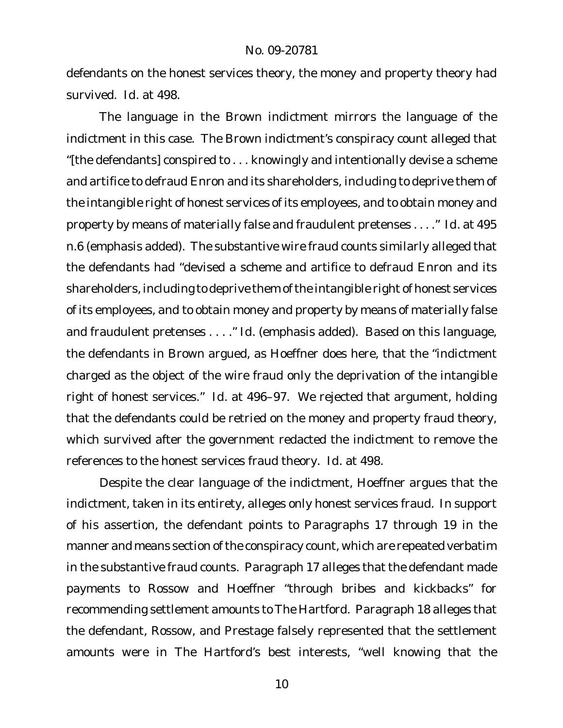defendants on the honest services theory, the money and property theory had survived. *Id.* at 498.

The language in the *Brown* indictment mirrors the language of the indictment in this case. The *Brown* indictment's conspiracy count alleged that "[the defendants] conspired to . . . knowingly and intentionally devise a scheme and artifice to defraud Enron and its shareholders, including to deprive them of the intangible right of honest services of its employees, *and* to obtain money and property by means of materially false and fraudulent pretenses . . . ." *Id.* at 495 n.6 (emphasis added). The substantive wire fraud counts similarly alleged that the defendants had "devised a scheme and artifice to defraud Enron and its shareholders, including to deprive them of the intangible right of honest services of its employees, *and* to obtain money and property by means of materially false and fraudulent pretenses . . . ." *Id.* (emphasis added). Based on this language, the defendants in *Brown* argued, as Hoeffner does here, that the "indictment charged as the object of the wire fraud only the deprivation of the intangible right of honest services." *Id.* at 496–97. We rejected that argument, holding that the defendants could be retried on the money and property fraud theory, which survived after the government redacted the indictment to remove the references to the honest services fraud theory. *Id.* at 498.

Despite the clear language of the indictment, Hoeffner argues that the indictment, taken in its entirety, alleges only honest services fraud. In support of his assertion, the defendant points to Paragraphs 17 through 19 in the manner and means section of the conspiracy count, which are repeated verbatim in the substantive fraud counts. Paragraph 17 alleges that the defendant made payments to Rossow and Hoeffner "through bribes and kickbacks" for recommending settlement amounts to The Hartford. Paragraph 18 alleges that the defendant, Rossow, and Prestage falsely represented that the settlement amounts were in The Hartford's best interests, "well knowing that the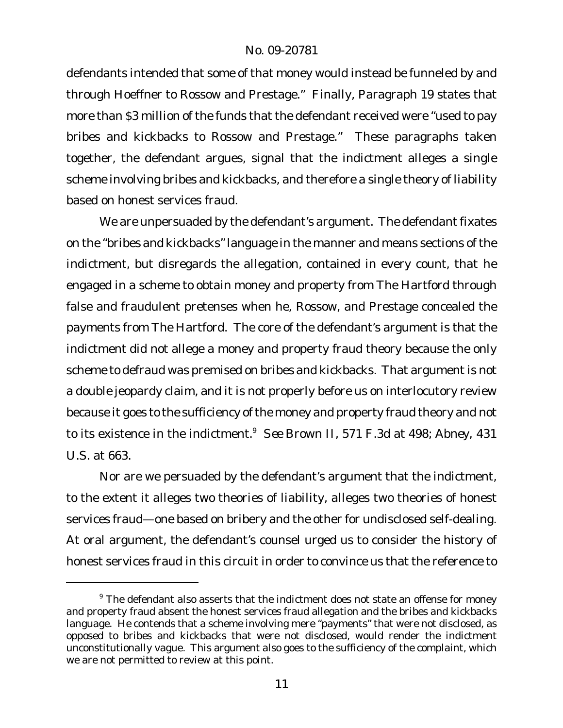defendants intended that some of that money would instead be funneled by and through Hoeffner to Rossow and Prestage." Finally, Paragraph 19 states that more than \$3 million of the funds that the defendant received were "used to pay bribes and kickbacks to Rossow and Prestage." These paragraphs taken together, the defendant argues, signal that the indictment alleges a single scheme involving bribes and kickbacks, and therefore a single theory of liability based on honest services fraud.

We are unpersuaded by the defendant's argument. The defendant fixates on the "bribes and kickbacks"language in the manner and means sections of the indictment, but disregards the allegation, contained in every count, that he engaged in a scheme to obtain money and property from The Hartford through false and fraudulent pretenses when he, Rossow, and Prestage concealed the payments from The Hartford. The core of the defendant's argument is that the indictment did not allege a money and property fraud theory because the only scheme to defraud was premised on bribes and kickbacks. That argument is not a double jeopardy claim, and it is not properly before us on interlocutory review because it goes to the sufficiency of the money and property fraud theory and not to its existence in the indictment.<sup>9</sup> *See Brown II*, 571 F.3d at 498; *Abney*, 431 U.S. at 663.

Nor are we persuaded by the defendant's argument that the indictment, to the extent it alleges two theories of liability, alleges two theories of honest services fraud—one based on bribery and the other for undisclosed self-dealing. At oral argument, the defendant's counsel urged us to consider the history of honest services fraud in this circuit in order to convince us that the reference to

<sup>&</sup>lt;sup>9</sup> The defendant also asserts that the indictment does not state an offense for money and property fraud absent the honest services fraud allegation and the bribes and kickbacks language. He contends that a scheme involving mere "payments" that were not disclosed, as opposed to bribes and kickbacks that were not disclosed, would render the indictment unconstitutionally vague. This argument also goes to the sufficiency of the complaint, which we are not permitted to review at this point.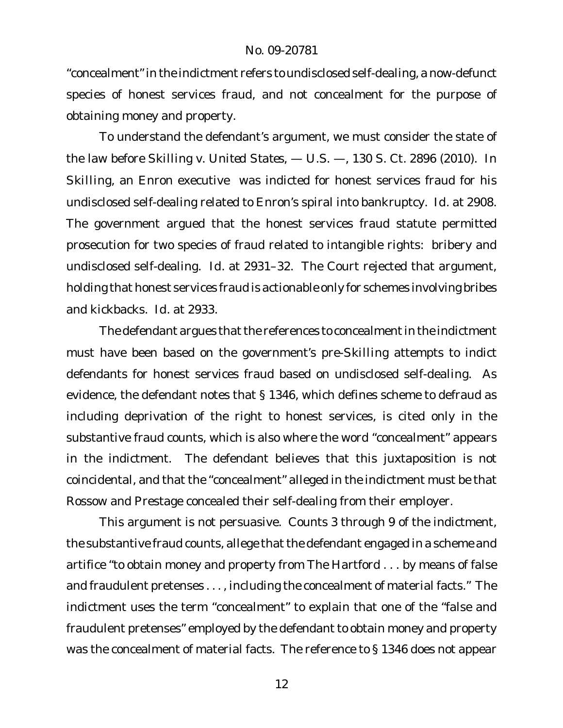"concealment" in the indictment refers to undisclosed self-dealing, a now-defunct species of honest services fraud, and not concealment for the purpose of obtaining money and property.

To understand the defendant's argument, we must consider the state of the law before *Skilling v. United States*, — U.S. —, 130 S. Ct. 2896 (2010)*.* In *Skilling*, an Enron executive was indicted for honest services fraud for his undisclosed self-dealing related to Enron's spiral into bankruptcy. *Id.* at 2908. The government argued that the honest services fraud statute permitted prosecution for two species of fraud related to intangible rights: bribery and undisclosed self-dealing. *Id.* at 2931–32. The Court rejected that argument, holding that honest services fraud is actionable only for schemes involving bribes and kickbacks. *Id.* at 2933.

The defendant argues that the references to concealment in the indictment must have been based on the government's pre-*Skilling* attempts to indict defendants for honest services fraud based on undisclosed self-dealing. As evidence, the defendant notes that § 1346, which defines scheme to defraud as including deprivation of the right to honest services, is cited only in the substantive fraud counts, which is also where the word "concealment" appears in the indictment. The defendant believes that this juxtaposition is not coincidental, and that the "concealment" alleged in the indictment must be that Rossow and Prestage concealed their self-dealing from their employer.

This argument is not persuasive. Counts 3 through 9 of the indictment, the substantive fraud counts, allege that the defendant engaged in a scheme and artifice "to obtain money and property from The Hartford . . . by means of false and fraudulent pretenses . . . , including the concealment of material facts." The indictment uses the term "concealment" to explain that one of the "false and fraudulent pretenses" employed by the defendant to obtain money and property was the concealment of material facts. The reference to § 1346 does not appear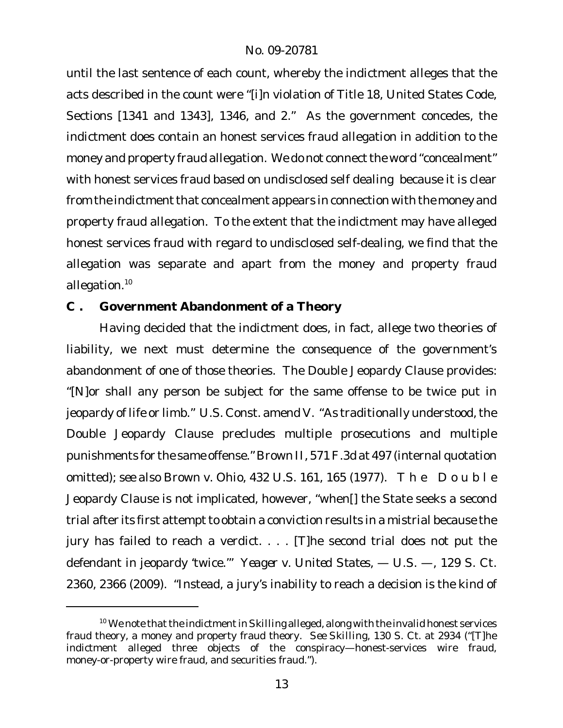until the last sentence of each count, whereby the indictment alleges that the acts described in the count were "[i]n violation of Title 18, United States Code, Sections [1341 and 1343], 1346, and 2." As the government concedes, the indictment does contain an honest services fraud allegation in addition to the money and property fraud allegation. We do not connect the word "concealment" with honest services fraud based on undisclosed self dealing because it is clear from the indictment that concealment appears in connection with the money and property fraud allegation. To the extent that the indictment may have alleged honest services fraud with regard to undisclosed self-dealing, we find that the allegation was separate and apart from the money and property fraud allegation.<sup>10</sup>

**C . Government Abandonment of a Theory**

Having decided that the indictment does, in fact, allege two theories of liability, we next must determine the consequence of the government's abandonment of one of those theories. The Double Jeopardy Clause provides: "[N]or shall any person be subject for the same offense to be twice put in jeopardy of life or limb." U.S. Const. amend V. "As traditionally understood, the Double Jeopardy Clause precludes multiple prosecutions and multiple punishments for the same offense." *Brown II*, 571F.3d at 497 (internal quotation omitted); *see also Brown v. Ohio*, 432 U.S. 161, 165 (1977). The Double Jeopardy Clause is not implicated, however, "when[] the State seeks a second trial after its first attempt to obtain a conviction results in a mistrial because the jury has failed to reach a verdict. . . . [T]he second trial does not put the defendant in jeopardy 'twice.'" *Yeager v. United States*, — U.S. —, 129 S. Ct. 2360, 2366 (2009). "Instead, a jury's inability to reach a decision is the kind of

<sup>&</sup>lt;sup>10</sup> We note that the indictment in Skilling alleged, along with the invalid honest services fraud theory, a money and property fraud theory. *See Skilling*, 130 S. Ct. at 2934 ("[T]he indictment alleged three objects of the conspiracy—honest-services wire fraud, money-or-property wire fraud, and securities fraud.").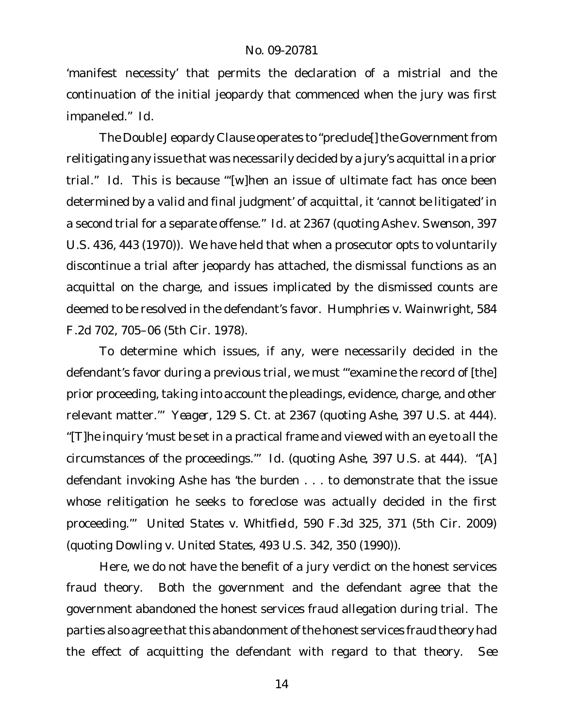'manifest necessity' that permits the declaration of a mistrial and the continuation of the initial jeopardy that commenced when the jury was first impaneled." *Id.*

The Double Jeopardy Clause operates to "preclude[] the Government from relitigating any issue that was necessarily decided by a jury's acquittal in a prior trial." *Id.* This is because "'[w]hen an issue of ultimate fact has once been determined by a valid and final judgment' of acquittal, it 'cannot be litigated' in a second trial for a separate offense." *Id.* at 2367 (quoting *Ashe v. Swenson*, 397 U.S. 436, 443 (1970)). We have held that when a prosecutor opts to voluntarily discontinue a trial after jeopardy has attached, the dismissal functions as an acquittal on the charge, and issues implicated by the dismissed counts are deemed to be resolved in the defendant's favor. *Humphries v. Wainwright*, 584 F.2d 702, 705–06 (5th Cir. 1978).

To determine which issues, if any, were necessarily decided in the defendant's favor during a previous trial, we must "'examine the record of [the] prior proceeding, taking into account the pleadings, evidence, charge, and other relevant matter.'" *Yeager*, 129 S. Ct. at 2367 (quoting *Ashe*, 397 U.S. at 444). "[T]he inquiry 'must be set in a practical frame and viewed with an eye to all the circumstances of the proceedings.'" *Id.* (quoting *Ashe*, 397 U.S. at 444). "[A] defendant invoking *Ashe* has 'the burden . . . to demonstrate that the issue whose relitigation he seeks to foreclose was actually decided in the first proceeding.'" *United States v. Whitfield*, 590 F.3d 325, 371 (5th Cir. 2009) (quoting *Dowling v. United States*, 493 U.S. 342, 350 (1990)).

Here, we do not have the benefit of a jury verdict on the honest services fraud theory. Both the government and the defendant agree that the government abandoned the honest services fraud allegation during trial. The parties also agree that this abandonment of the honest services fraud theory had the effect of acquitting the defendant with regard to that theory. *See*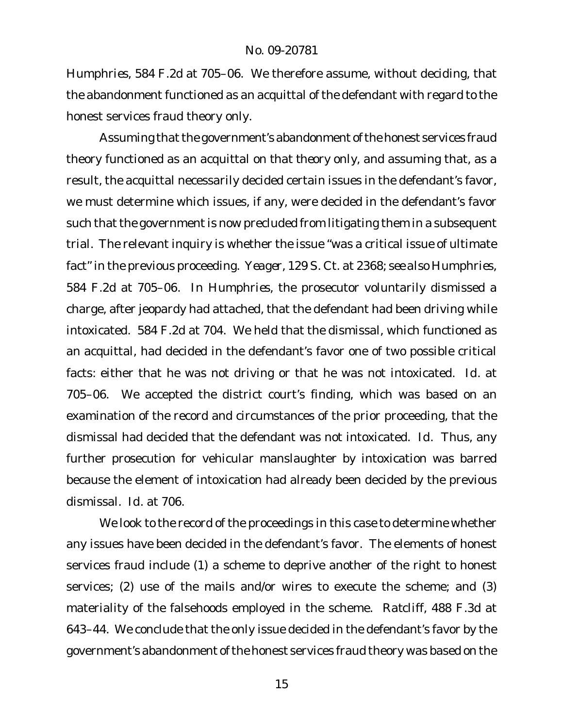*Humphries*, 584 F.2d at 705–06. We therefore assume, without deciding, that the abandonment functioned as an acquittal of the defendant with regard to the honest services fraud theory only.

Assuming that the government's abandonment of the honest services fraud theory functioned as an acquittal *on that theory only*, and assuming that, as a result, the acquittal necessarily decided certain issues in the defendant's favor, we must determine which issues, if any, were decided in the defendant's favor such that the government is now precluded from litigating them in a subsequent trial. The relevant inquiry is whether the issue "was a critical issue of ultimate fact" in the previous proceeding. *Yeager*, 129 S. Ct. at 2368; *see also Humphries*, 584 F.2d at 705–06. In *Humphries*, the prosecutor voluntarily dismissed a charge, after jeopardy had attached, that the defendant had been driving while intoxicated. 584 F.2d at 704. We held that the dismissal, which functioned as an acquittal, had decided in the defendant's favor one of two possible critical facts: either that he was not driving or that he was not intoxicated. *Id.* at 705–06. We accepted the district court's finding, which was based on an examination of the record and circumstances of the prior proceeding, that the dismissal had decided that the defendant was not intoxicated. *Id.* Thus, any further prosecution for vehicular manslaughter by intoxication was barred because the element of intoxication had already been decided by the previous dismissal. *Id.* at 706.

We look to the record of the proceedings in this case to determine whether any issues have been decided in the defendant's favor. The elements of honest services fraud include (1) a scheme to deprive another of the right to honest services; (2) use of the mails and/or wires to execute the scheme; and (3) materiality of the falsehoods employed in the scheme. *Ratcliff*, 488 F.3d at 643–44. We conclude that the only issue decided in the defendant's favor by the government's abandonment of the honest services fraud theory was based on the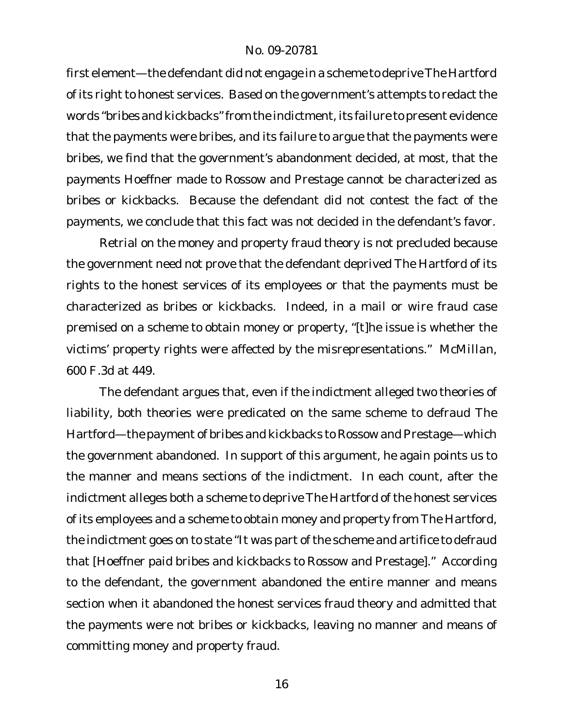first element—the defendant did not engage in a scheme to deprive The Hartford of its right to honest services. Based on the government's attempts to redact the words "bribes and kickbacks"from the indictment, its failure to present evidence that the payments were bribes, and its failure to argue that the payments were bribes, we find that the government's abandonment decided, at most, that the payments Hoeffner made to Rossow and Prestage cannot be characterized as bribes or kickbacks. Because the defendant did not contest the fact of the payments, we conclude that this fact was not decided in the defendant's favor.

Retrial on the money and property fraud theory is not precluded because the government need not prove that the defendant deprived The Hartford of its rights to the honest services of its employees or that the payments must be characterized as bribes or kickbacks. Indeed, in a mail or wire fraud case premised on a scheme to obtain money or property, "[t]he issue is whether the victims' property rights were affected by the misrepresentations." *McMillan*, 600 F.3d at 449.

The defendant argues that, even if the indictment alleged two theories of liability, both theories were predicated on the same scheme to defraud The Hartford—the payment of bribes and kickbacks to Rossow and Prestage—which the government abandoned. In support of this argument, he again points us to the manner and means sections of the indictment. In each count, after the indictment alleges both a scheme to deprive The Hartford of the honest services of its employees and a scheme to obtain money and property from The Hartford, the indictment goes on to state "It was part of the scheme and artifice to defraud that [Hoeffner paid bribes and kickbacks to Rossow and Prestage]." According to the defendant, the government abandoned the entire manner and means section when it abandoned the honest services fraud theory and admitted that the payments were not bribes or kickbacks, leaving no manner and means of committing money and property fraud.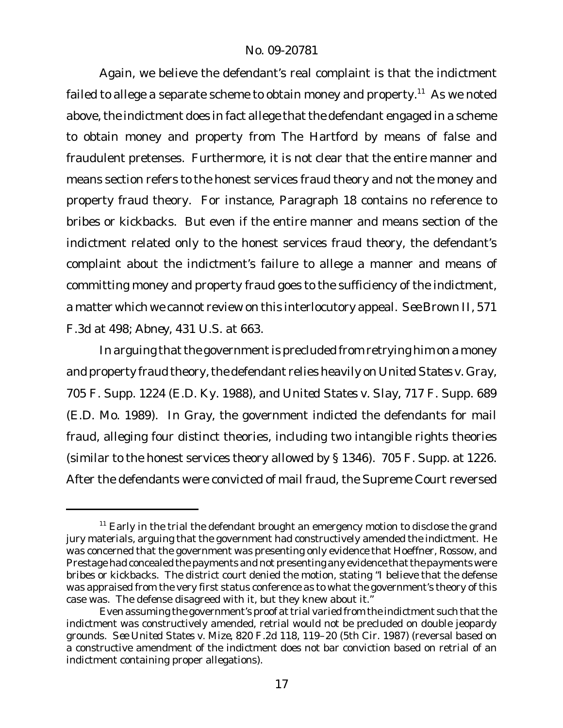Again, we believe the defendant's real complaint is that the indictment failed to allege a separate scheme to obtain money and property.<sup>11</sup> As we noted above, the indictment does in fact allege that the defendant engaged in a scheme to obtain money and property from The Hartford by means of false and fraudulent pretenses. Furthermore, it is not clear that the entire manner and means section refers to the honest services fraud theory and not the money and property fraud theory. For instance, Paragraph 18 contains no reference to bribes or kickbacks. But even if the entire manner and means section of the indictment related only to the honest services fraud theory, the defendant's complaint about the indictment's failure to allege a manner and means of committing money and property fraud goes to the sufficiency of the indictment, a matter which we cannot review on this interlocutory appeal. *See Brown II*, 571 F.3d at 498; *Abney*, 431 U.S. at 663.

In arguing that the government is precluded from retrying him on a money and property fraud theory, the defendant relies heavily on United States v. Gray, 705 F. Supp. 1224 (E.D. Ky. 1988), and *United States v. Slay*, 717 F. Supp. 689 (E.D. Mo. 1989). In *Gray*, the government indicted the defendants for mail fraud, alleging four distinct theories, including two intangible rights theories (similar to the honest services theory allowed by § 1346). 705 F. Supp. at 1226. After the defendants were convicted of mail fraud, the Supreme Court reversed

 $11$  Early in the trial the defendant brought an emergency motion to disclose the grand jury materials, arguing that the government had constructively amended the indictment. He was concerned that the government was presenting only evidence that Hoeffner, Rossow, and Prestage had concealed the payments and not presenting any evidence that the payments were bribes or kickbacks. The district court denied the motion, stating "I believe that the defense was appraised from the very first status conference as to what the government's theory of this case was. The defense disagreed with it, but they knew about it."

Even assuming the government's proof at trial varied from the indictment such that the indictment was constructively amended, retrial would not be precluded on double jeopardy grounds. *See United States v. Mize*, 820 F.2d 118, 119–20 (5th Cir. 1987) (reversal based on a constructive amendment of the indictment does not bar conviction based on retrial of an indictment containing proper allegations).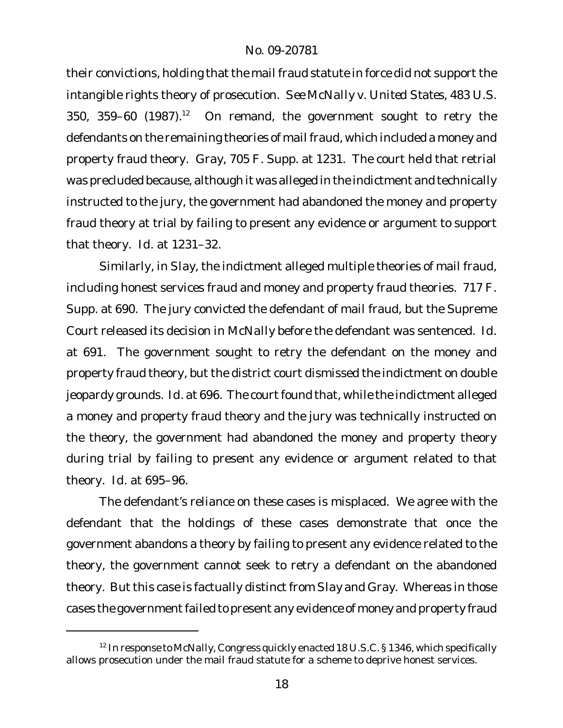their convictions, holding that the mail fraud statute in force did not support the intangible rights theory of prosecution. *See McNally v. United States*, 483 U.S. 350, 359–60 (1987).<sup>12</sup> On remand, the government sought to retry the defendants on the remaining theories of mail fraud, which included a money and property fraud theory. *Gray*, 705 F. Supp. at 1231. The court held that retrial was precluded because, although it was alleged in the indictment and technically instructed to the jury, the government had abandoned the money and property fraud theory at trial by failing to present any evidence or argument to support that theory. *Id.* at 1231–32.

Similarly, in *Slay*, the indictment alleged multiple theories of mail fraud, including honest services fraud and money and property fraud theories. 717 F. Supp. at 690. The jury convicted the defendant of mail fraud, but the Supreme Court released its decision in *McNally* before the defendant was sentenced. *Id.* at 691. The government sought to retry the defendant on the money and property fraud theory, but the district court dismissed the indictment on double jeopardy grounds. *Id.* at 696. The court found that, while the indictment alleged a money and property fraud theory and the jury was technically instructed on the theory, the government had abandoned the money and property theory during trial by failing to present any evidence or argument related to that theory. *Id.* at 695–96.

The defendant's reliance on these cases is misplaced. We agree with the defendant that the holdings of these cases demonstrate that once the government abandons a theory by failing to present any evidence related to the theory, the government cannot seek to retry a defendant on the abandoned theory. But this case is factually distinct from *Slay* and *Gray*. Whereas in those cases the government failed to present any evidence of money and property fraud

<sup>12</sup> In response to *McNally*, Congress quickly enacted 18 U.S.C. § 1346, which specifically allows prosecution under the mail fraud statute for a scheme to deprive honest services.